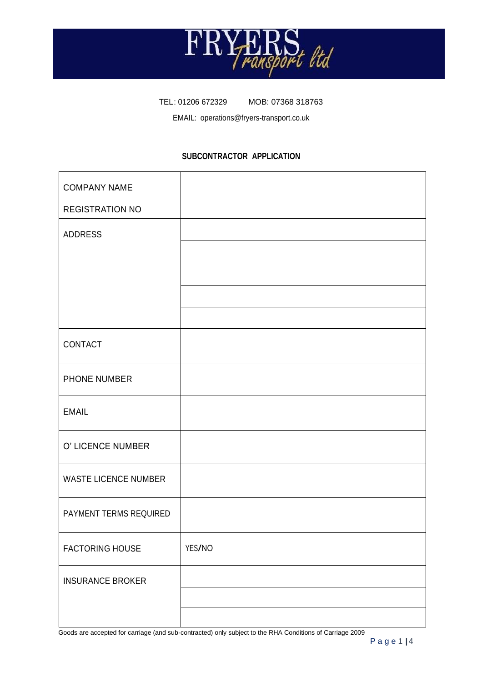

TEL: 01206 672329 MOB: 07368 318763

EMAIL: operations@fryers-transport.co.uk

## **SUBCONTRACTOR APPLICATION**

| <b>COMPANY NAME</b>         |        |
|-----------------------------|--------|
| <b>REGISTRATION NO</b>      |        |
| <b>ADDRESS</b>              |        |
|                             |        |
|                             |        |
|                             |        |
|                             |        |
| CONTACT                     |        |
| PHONE NUMBER                |        |
| <b>EMAIL</b>                |        |
| O' LICENCE NUMBER           |        |
| <b>WASTE LICENCE NUMBER</b> |        |
| PAYMENT TERMS REQUIRED      |        |
| <b>FACTORING HOUSE</b>      | YES/NO |
| <b>INSURANCE BROKER</b>     |        |
|                             |        |
|                             |        |

Goods are accepted for carriage (and sub-contracted) only subject to the RHA Conditions of Carriage 2009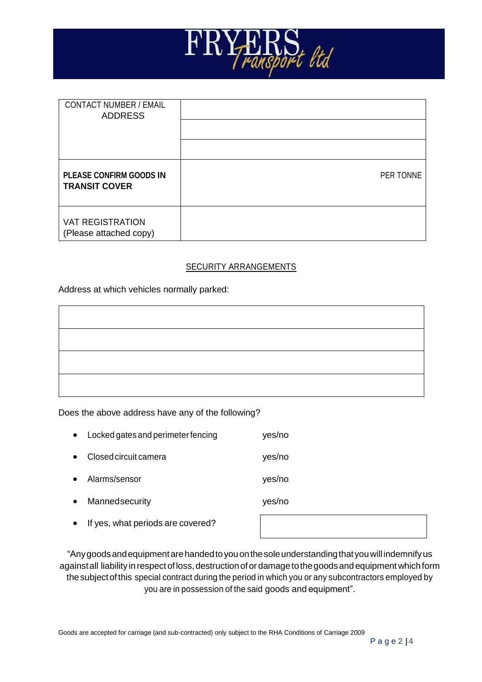

| <b>CONTACT NUMBER / EMAIL</b><br><b>ADDRESS</b>        |           |
|--------------------------------------------------------|-----------|
|                                                        |           |
|                                                        |           |
| <b>PLEASE CONFIRM GOODS IN</b><br><b>TRANSIT COVER</b> | PER TONNE |
| <b>VAT REGISTRATION</b><br>(Please attached copy)      |           |

#### SECURITY ARRANGEMENTS

Address at which vehicles normally parked:

#### Does the above address have any of the following?

| $\bullet$ | Locked gates and perimeter fencing | yes/no |
|-----------|------------------------------------|--------|
| $\bullet$ | Closed circuit camera              | yes/no |
| $\bullet$ | Alarms/sensor                      | yes/no |
| $\bullet$ | Mannedsecurity                     | yes/no |
| $\bullet$ | If yes, what periods are covered?  |        |
|           |                                    |        |

"Anygoodsandequipmentarehandedtoyouonthesoleunderstandingthatyouwill indemnifyus against all liability in respect of loss, destruction of or damage to the goods and equipment which form the subject of this special contract during the period in which you or any subcontractors employed by you are in possession of the said goods and equipment".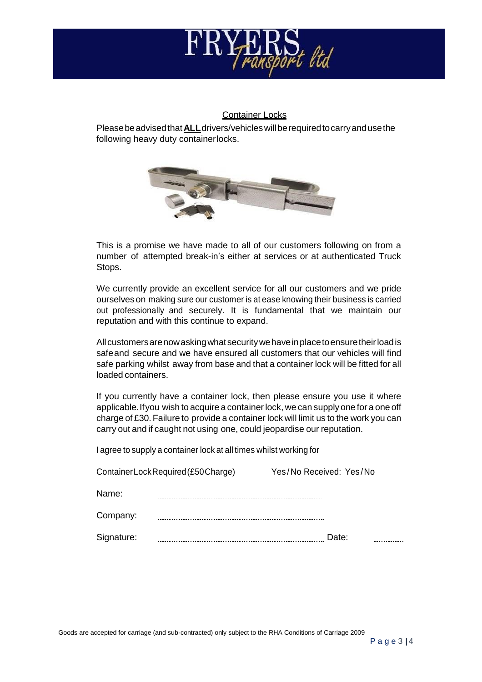

### Container Locks

Pleasebeadvisedthat**ALL**drivers/vehicleswillberequiredtocarryandusethe following heavy duty containerlocks.



This is a promise we have made to all of our customers following on from a number of attempted break-in's either at services or at authenticated Truck Stops.

We currently provide an excellent service for all our customers and we pride ourselves on making sure our customer is at ease knowing their business is carried out professionally and securely. It is fundamental that we maintain our reputation and with this continue to expand.

Allcustomersarenowaskingwhatsecuritywehaveinplacetoensuretheirloadis safeand secure and we have ensured all customers that our vehicles will find safe parking whilst away from base and that a container lock will be fitted for all loaded containers.

If you currently have a container lock, then please ensure you use it where applicable. If you wish to acquire a container lock, we can supply one for a one off charge of £30. Failure to provide a container lock will limit us to the work you can carry out and if caught not using one, could jeopardise our reputation.

I agree to supply a container lock at all times whilst working for

| Container Lock Required (£50 Charge) |  | Yes/No Received: Yes/No |  |
|--------------------------------------|--|-------------------------|--|
| Name:                                |  |                         |  |
| Company:                             |  |                         |  |
| Signature:                           |  | Date:                   |  |

Goods are accepted for carriage (and sub-contracted) only subject to the RHA Conditions of Carriage 2009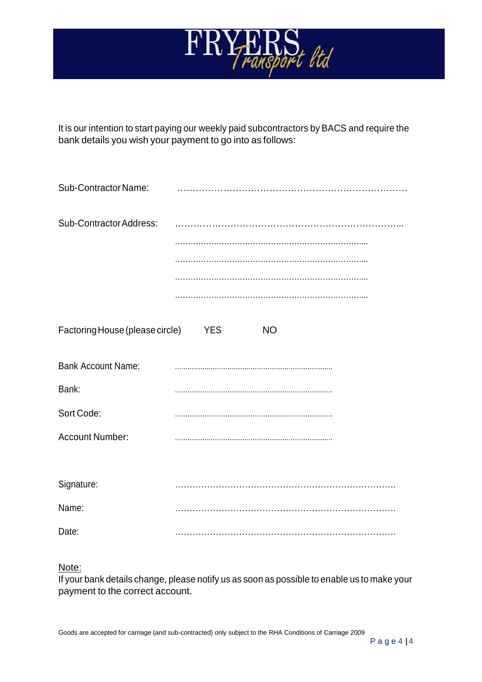

It is our intention to start paying our weekly paid subcontractors by BACS and require the bank details you wish your payment to go into as follows:

| Sub-Contractor Name:            |                  |
|---------------------------------|------------------|
| Sub-Contractor Address:         |                  |
|                                 |                  |
|                                 |                  |
|                                 |                  |
|                                 |                  |
| Factoring House (please circle) | YES<br><b>NO</b> |
| <b>Bank Account Name:</b>       |                  |
| Bank:                           |                  |
| Sort Code:                      |                  |
| Account Number:                 |                  |
|                                 |                  |
| Signature:                      |                  |
| Name:                           |                  |
| Date:                           |                  |

Note:

If your bank details change, please notify us as soon as possible to enable us to make your payment to the correct account.